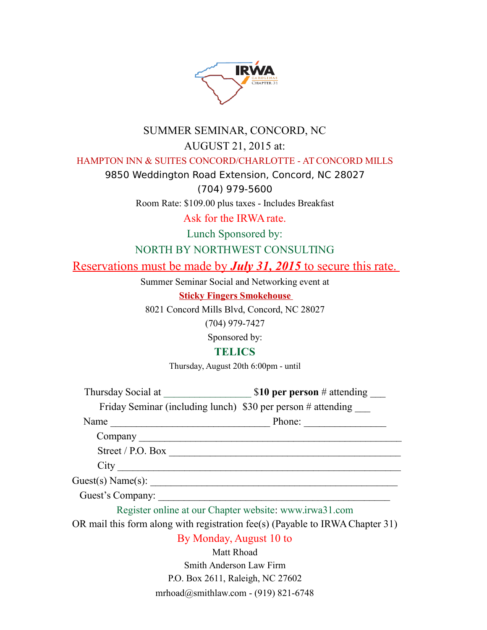

## SUMMER SEMINAR, CONCORD, NC AUGUST 21, 2015 at:

HAMPTON INN & SUITES CONCORD/CHARLOTTE - AT CONCORD MILLS

9850 Weddington Road Extension, Concord, NC 28027

(704) 979-5600

Room Rate: \$109.00 plus taxes - Includes Breakfast

Ask for the IRWA rate.

Lunch Sponsored by:

NORTH BY NORTHWEST CONSULTING

Reservations must be made by *July 31, 2015* to secure this rate.

Summer Seminar Social and Networking event at

**Sticky Fingers Smokehouse** 

8021 Concord Mills Blvd, Concord, NC 28027

(704) 979-7427

Sponsored by:

#### **TELICS**

Thursday, August 20th 6:00pm - until

Thursday Social at  $$10$  per person # attending

Friday Seminar (including lunch) \$30 per person # attending

Name \_\_\_\_\_\_\_\_\_\_\_\_\_\_\_\_\_\_\_\_\_\_\_\_\_\_\_\_\_\_\_ Phone: \_\_\_\_\_\_\_\_\_\_\_\_\_\_\_\_

Company \_\_\_\_\_\_\_\_\_\_\_\_\_\_\_\_\_\_\_\_\_\_\_\_\_\_\_\_\_\_\_\_\_\_\_\_\_\_\_\_\_\_\_\_\_\_\_\_\_\_\_

Street / P.O. Box \_\_\_\_\_\_\_\_\_\_\_\_\_\_\_\_\_\_\_\_\_\_\_\_\_\_\_\_\_\_\_\_\_\_\_\_\_\_\_\_\_\_\_\_\_

City \_\_\_\_\_\_\_\_\_\_\_\_\_\_\_\_\_\_\_\_\_\_\_\_\_\_\_\_\_\_\_\_\_\_\_\_\_\_\_\_\_\_\_\_\_\_\_\_\_\_\_\_\_\_\_

Guest(s) Name(s): \_\_\_\_\_\_\_\_\_\_\_\_\_\_\_\_\_\_\_\_\_\_\_\_\_\_\_\_\_\_\_\_\_\_\_\_\_\_\_\_\_\_\_\_\_\_\_\_

Guest's Company:

Register online at our Chapter website: www.irwa31.com

OR mail this form along with registration fee(s) (Payable to IRWA Chapter 31)

#### By Monday, August 10 to

Matt Rhoad Smith Anderson Law Firm P.O. Box 2611, Raleigh, NC 27602 mrhoad@smithlaw.com - (919) 821-6748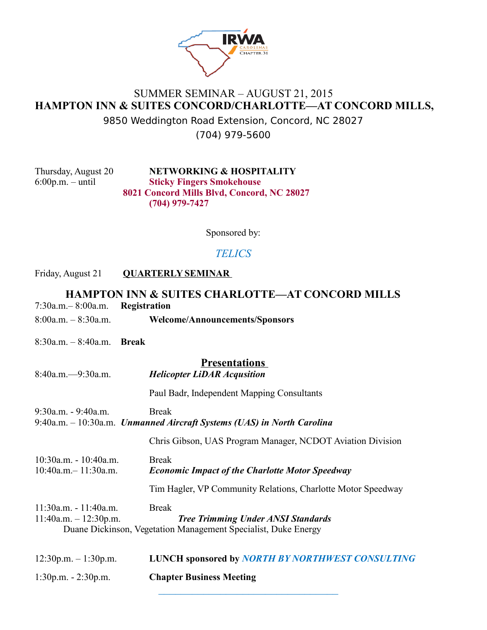

## SUMMER SEMINAR – AUGUST 21, 2015 **HAMPTON INN & SUITES CONCORD/CHARLOTTE—AT CONCORD MILLS,**

9850 Weddington Road Extension, Concord, NC 28027 (704) 979-5600

Thursday, August 20 **NETWORKING & HOSPITALITY**  6:00p.m. – until **Sticky Fingers Smokehouse 8021 Concord Mills Blvd, Concord, NC 28027 (704) 979-7427** 

Sponsored by:

## *TELICS*

#### Friday, August 21 **QUARTERLY SEMINAR**

# **HAMPTON INN & SUITES CHARLOTTE—AT CONCORD MILLS**  7:30a.m.– 8:00a.m. **Registration**  8:00a.m. – 8:30a.m. **Welcome/Announcements/Sponsors**  8:30a.m. – 8:40a.m. **Break Presentations**  8:40a.m.—9:30a.m. *Helicopter LiDAR Acqusition* Paul Badr, Independent Mapping Consultants 9:30a.m. - 9:40a.m. Break 9:40a.m. – 10:30a.m. *Unmanned Aircraft Systems (UAS) in North Carolina* Chris Gibson, UAS Program Manager, NCDOT Aviation Division 10:30a.m. - 10:40a.m. Break 10:40a.m.– 11:30a.m. *Economic Impact of the Charlotte Motor Speedway* Tim Hagler, VP Community Relations, Charlotte Motor Speedway 11:30a.m. - 11:40a.m. Break 11:40a.m. – 12:30p.m. *Tree Trimming Under ANSI Standards*  Duane Dickinson, Vegetation Management Specialist, Duke Energy 12:30p.m. – 1:30p.m. **LUNCH sponsored by** *NORTH BY NORTHWEST CONSULTING* 1:30p.m. - 2:30p.m. **Chapter Business Meeting**

 $\mathcal{L}=\mathcal{L}=\mathcal{L}=\mathcal{L}=\mathcal{L}=\mathcal{L}=\mathcal{L}=\mathcal{L}=\mathcal{L}=\mathcal{L}=\mathcal{L}=\mathcal{L}=\mathcal{L}=\mathcal{L}=\mathcal{L}=\mathcal{L}=\mathcal{L}=\mathcal{L}=\mathcal{L}=\mathcal{L}=\mathcal{L}=\mathcal{L}=\mathcal{L}=\mathcal{L}=\mathcal{L}=\mathcal{L}=\mathcal{L}=\mathcal{L}=\mathcal{L}=\mathcal{L}=\mathcal{L}=\mathcal{L}=\mathcal{L}=\mathcal{L}=\mathcal{L}=\mathcal{L}=\mathcal{$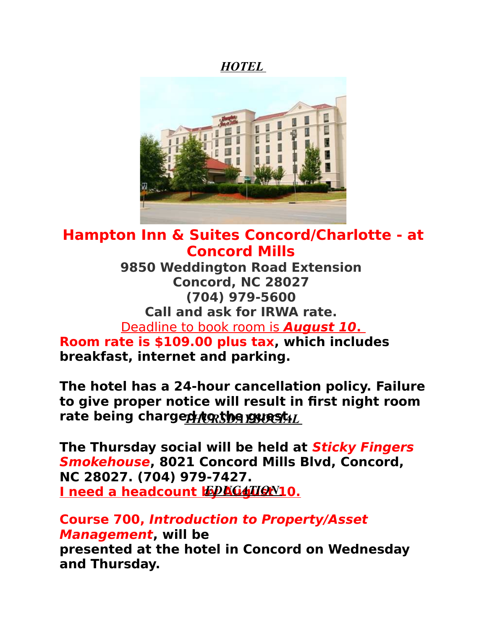*HOTEL* 



# **Hampton Inn & Suites Concord/Charlotte - at Concord Mills**

**9850 Weddington Road Extension Concord, NC 28027 (704) 979-5600 Call and ask for IRWA rate.**  Deadline to book room is **August 10. Room rate is \$109.00 plus tax, which includes** 

**breakfast, internet and parking.** 

**The hotel has a 24-hour cancellation policy. Failure to give proper notice will result in first night room**  rate being charged to the guest L

**The Thursday social will be held at Sticky Fingers Smokehouse, 8021 Concord Mills Blvd, Concord, NC 28027. (704) 979-7427. I need a headcount by AGATION 10.** 

**Course 700, Introduction to Property/Asset Management, will be presented at the hotel in Concord on Wednesday and Thursday.**